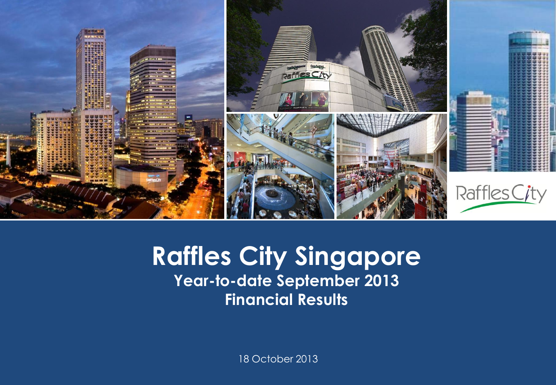

#### **Raffles City Singapore Presentation Template Year-to-date September 2013 Financial Results**

18 October 2013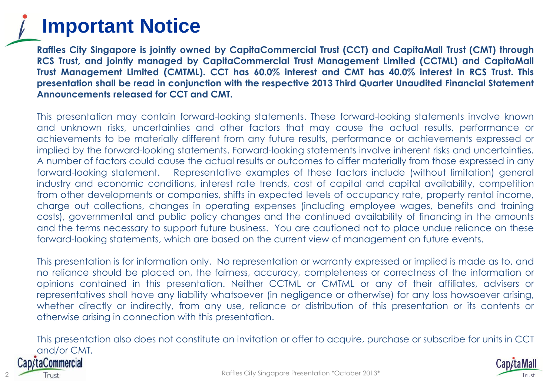#### **Important Notice**

**Raffles City Singapore is jointly owned by CapitaCommercial Trust (CCT) and CapitaMall Trust (CMT) through RCS Trust, and jointly managed by CapitaCommercial Trust Management Limited (CCTML) and CapitaMall Trust Management Limited (CMTML). CCT has 60.0% interest and CMT has 40.0% interest in RCS Trust. This presentation shall be read in conjunction with the respective 2013 Third Quarter Unaudited Financial Statement Announcements released for CCT and CMT.**

This presentation may contain forward-looking statements. These forward-looking statements involve known and unknown risks, uncertainties and other factors that may cause the actual results, performance or achievements to be materially different from any future results, performance or achievements expressed or implied by the forward-looking statements. Forward-looking statements involve inherent risks and uncertainties. A number of factors could cause the actual results or outcomes to differ materially from those expressed in any forward-looking statement. Representative examples of these factors include (without limitation) general industry and economic conditions, interest rate trends, cost of capital and capital availability, competition from other developments or companies, shifts in expected levels of occupancy rate, property rental income, charge out collections, changes in operating expenses (including employee wages, benefits and training costs), governmental and public policy changes and the continued availability of financing in the amounts and the terms necessary to support future business. You are cautioned not to place undue reliance on these forward-looking statements, which are based on the current view of management on future events.

This presentation is for information only. No representation or warranty expressed or implied is made as to, and no reliance should be placed on, the fairness, accuracy, completeness or correctness of the information or opinions contained in this presentation. Neither CCTML or CMTML or any of their affiliates, advisers or representatives shall have any liability whatsoever (in negligence or otherwise) for any loss howsoever arising, whether directly or indirectly, from any use, reliance or distribution of this presentation or its contents or otherwise arising in connection with this presentation.

This presentation also does not constitute an invitation or offer to acquire, purchase or subscribe for units in CCT and/or CMT.ap/taCommercial

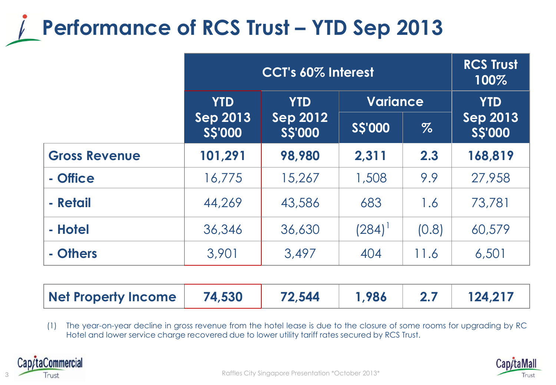## **Performance of RCS Trust – YTD Sep 2013**

|                      | <b>CCT's 60% Interest</b>        |                                  |                 |       | <b>RCS Trust</b><br>100%   |
|----------------------|----------------------------------|----------------------------------|-----------------|-------|----------------------------|
|                      | <b>YTD</b>                       | <b>YTD</b>                       | <b>Variance</b> |       | <b>YTD</b>                 |
|                      | <b>Sep 2013</b><br><b>SS'000</b> | <b>Sep 2012</b><br><b>SS'000</b> | <b>S\$'000</b>  | $\%$  | <b>Sep 2013</b><br>S\$'000 |
| <b>Gross Revenue</b> | 101,291                          | 98,980                           | 2,311           | 2.3   | 168,819                    |
| - Office             | 16,775                           | 15,267                           | 1,508           | 9.9   | 27,958                     |
| - Retail             | 44,269                           | 43,586                           | 683             | 1.6   | 73,781                     |
| - Hotel              | 36,346                           | 36,630                           | $(284)^{1}$     | (0.8) | 60,579                     |
| - Others             | 3,901                            | 3,497                            | 404             | 11.6  | 6,501                      |

| Net Property Income | 74,530 | 72,544 | $\vert$ 1.986 |  | 124,217 |
|---------------------|--------|--------|---------------|--|---------|
|---------------------|--------|--------|---------------|--|---------|

(1) The year-on-year decline in gross revenue from the hotel lease is due to the closure of some rooms for upgrading by RC Hotel and lower service charge recovered due to lower utility tariff rates secured by RCS Trust.



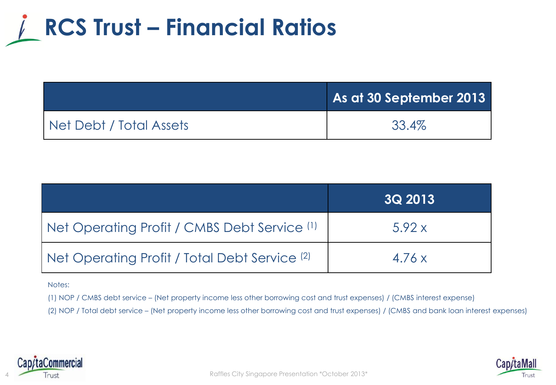

|                         | As at 30 September 2013 |
|-------------------------|-------------------------|
| Net Debt / Total Assets | 33.4%                   |

|                                                          | <b>3Q 2013</b> |
|----------------------------------------------------------|----------------|
| Net Operating Profit / CMBS Debt Service (1)             | 5.92x          |
| Net Operating Profit / Total Debt Service <sup>(2)</sup> | 4.76x          |

Notes:

(1) NOP / CMBS debt service – (Net property income less other borrowing cost and trust expenses) / (CMBS interest expense)

(2) NOP / Total debt service – (Net property income less other borrowing cost and trust expenses) / (CMBS and bank loan interest expenses)



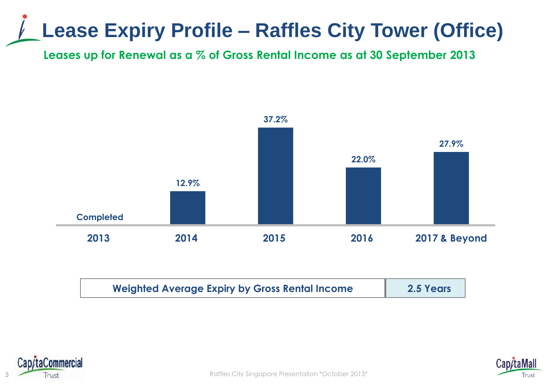## **Lease Expiry Profile – Raffles City Tower (Office)**

**Leases up for Renewal as a % of Gross Rental Income as at 30 September 2013**



| <b>Weighted Average Expiry by Gross Rental Income</b> | 2.5 Years |
|-------------------------------------------------------|-----------|
|-------------------------------------------------------|-----------|



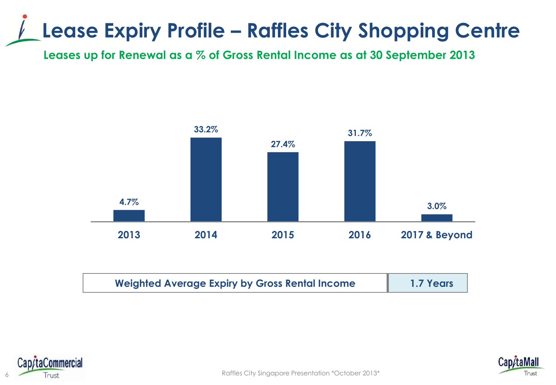### **Lease Expiry Profile – Raffles City Shopping Centre**

**Leases up for Renewal as a % of Gross Rental Income as at 30 September 2013**



| <b>Weighted Average Expiry by Gross Rental Income</b> | 1.7 Years |
|-------------------------------------------------------|-----------|
|-------------------------------------------------------|-----------|



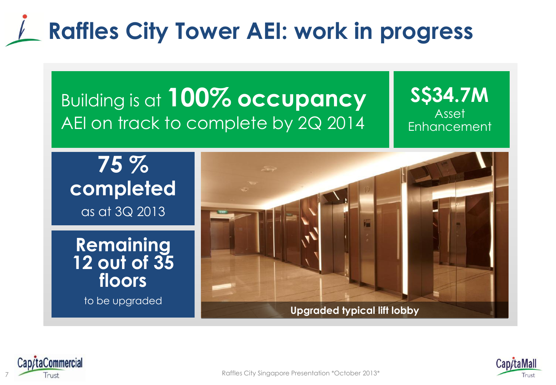# **Raffles City Tower AEI: work in progress**

#### Building is at **100% occupancy**  AEI on track to complete by 2Q 2014

**S\$34.7M** Asset **Enhancement** 

**75 % completed**  as at 3Q 2013

**Remaining 12 out of 35 floors**

to be upgraded





7